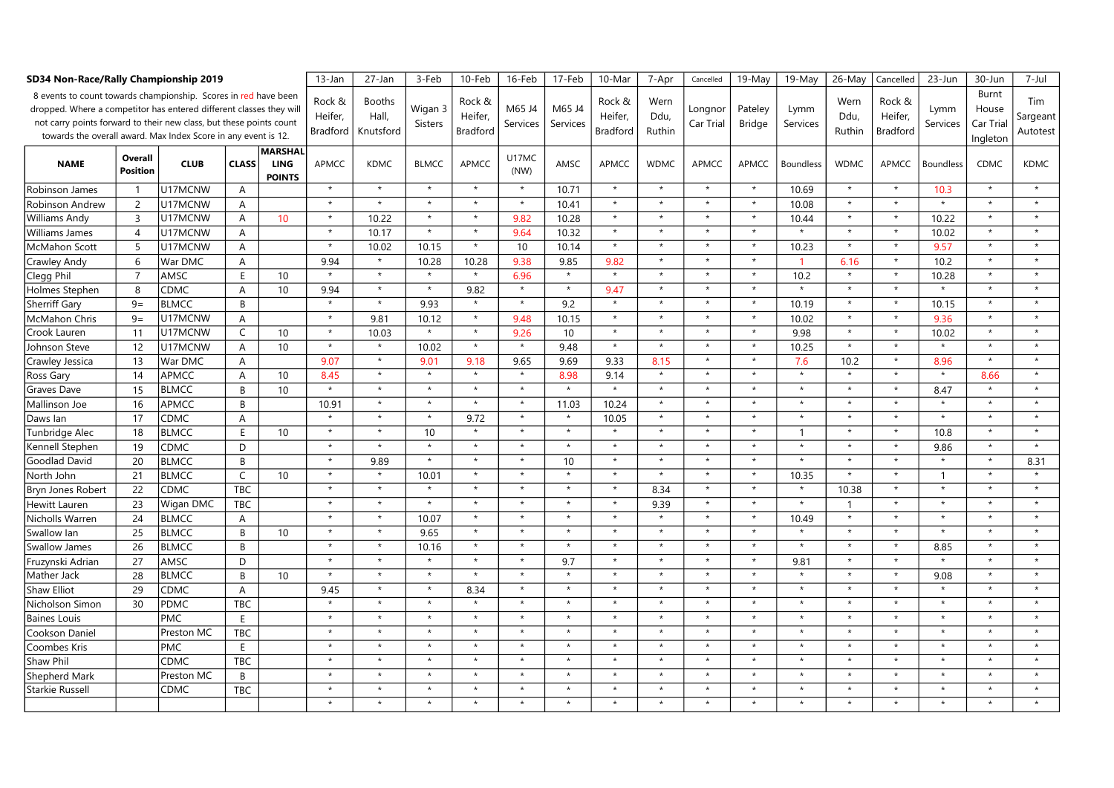| SD34 Non-Race/Rally Championship 2019                                                                                                                                                                                                                                           | $13$ -Jan                  | 27-Jan       | 3-Feb          | 10-Feb                                         | 16-Feb                               | 17-Feb                              | 10-Mar             | 7-Apr                                | Cancelled          | 19-May             | 19-May                               | 26-May                 | Cancelled            | 23-Jun            | 30-Jun           | 7-Jul                  |                                      |                  |                                         |                             |
|---------------------------------------------------------------------------------------------------------------------------------------------------------------------------------------------------------------------------------------------------------------------------------|----------------------------|--------------|----------------|------------------------------------------------|--------------------------------------|-------------------------------------|--------------------|--------------------------------------|--------------------|--------------------|--------------------------------------|------------------------|----------------------|-------------------|------------------|------------------------|--------------------------------------|------------------|-----------------------------------------|-----------------------------|
| 8 events to count towards championship. Scores in red have been<br>dropped. Where a competitor has entered different classes they will<br>not carry points forward to their new class, but these points count<br>towards the overall award. Max Index Score in any event is 12. |                            |              |                |                                                | Rock &<br>Heifer.<br><b>Bradford</b> | <b>Booths</b><br>Hall,<br>Knutsford | Wigan 3<br>Sisters | Rock &<br>Heifer,<br><b>Bradford</b> | M65 J4<br>Services | M65 J4<br>Services | Rock &<br>Heifer,<br><b>Bradford</b> | Wern<br>Ddu,<br>Ruthin | Longnor<br>Car Trial | Pateley<br>Bridge | Lymm<br>Services | Wern<br>Ddu,<br>Ruthin | Rock &<br>Heifer,<br><b>Bradford</b> | Lymm<br>Services | Burnt<br>House<br>Car Trial<br>Ingleton | Tim<br>Sargeant<br>Autotest |
| <b>NAME</b>                                                                                                                                                                                                                                                                     | Overall<br><b>Position</b> | <b>CLUB</b>  | <b>CLASS</b>   | <b>MARSHAL</b><br><b>LING</b><br><b>POINTS</b> | <b>APMCC</b>                         | <b>KDMC</b>                         | <b>BLMCC</b>       | <b>APMCC</b>                         | U17MC<br>(NW)      | AMSC               | APMCC                                | <b>WDMC</b>            | <b>APMCC</b>         | <b>APMCC</b>      | <b>Boundless</b> | <b>WDMC</b>            | APMCC                                | <b>Boundless</b> | <b>CDMC</b>                             | <b>KDMC</b>                 |
| Robinson James                                                                                                                                                                                                                                                                  | $\mathbf{1}$               | U17MCNW      | $\overline{A}$ |                                                | $\star$                              | $\star$                             | $\star$            | $\star$                              | $\star$            | 10.71              | $\star$                              | $\star$                | $\star$              | $\star$           | 10.69            | $\star$                | $\star$                              | 10.3             | $\star$                                 | $\star$                     |
| Robinson Andrew                                                                                                                                                                                                                                                                 | $\overline{2}$             | U17MCNW      | A              |                                                | $\star$                              | $\star$                             | $\star$            | $\star$                              | $\star$            | 10.41              | $\star$                              | $\star$                | $\star$              | $\star$           | 10.08            | $\star$                | $\star$                              | $\star$          | $\star$                                 | $\star$                     |
| Williams Andy                                                                                                                                                                                                                                                                   | 3                          | U17MCNW      | Α              | 10                                             | $\star$                              | 10.22                               | $\star$            | $\star$                              | 9.82               | 10.28              | $\star$                              | $\star$                | $\star$              | $\star$           | 10.44            | $\star$                | $\star$                              | 10.22            | $\star$                                 | $\star$                     |
| Williams James                                                                                                                                                                                                                                                                  | $\overline{4}$             | U17MCNW      | A              |                                                | $\star$                              | 10.17                               | $\star$            | $\star$                              | 9.64               | 10.32              | $\star$                              | $\star$                | $\star$              | $\star$           |                  | $\star$                | $\star$                              | 10.02            | $\star$                                 | $\star$                     |
| McMahon Scott                                                                                                                                                                                                                                                                   | 5                          | U17MCNW      | A              |                                                | $\star$                              | 10.02                               | 10.15              | $\star$                              | 10                 | 10.14              | $\star$                              | $\star$                | $\star$              | $\star$           | 10.23            | $\star$                | $\star$                              | 9.57             | $\star$                                 | $\star$                     |
| Crawley Andy                                                                                                                                                                                                                                                                    | 6                          | War DMC      | A              |                                                | 9.94                                 | $\star$                             | 10.28              | 10.28                                | 9.38               | 9.85               | 9.82                                 | $\star$                | $\star$              | $\star$           |                  | 6.16                   | $\star$                              | 10.2             | $\star$                                 | $\star$                     |
| Clegg Phil                                                                                                                                                                                                                                                                      | $\overline{7}$             | AMSC         | E              | 10                                             |                                      | $\star$                             | $\star$            | $\star$                              | 6.96               | $\star$            | $\star$                              | $\star$                | $\star$              | $\star$           | 10.2             | $\star$                | $\star$                              | 10.28            | $\star$                                 | $\star$                     |
| Holmes Stephen                                                                                                                                                                                                                                                                  | 8                          | <b>CDMC</b>  | A              | 10                                             | 9.94                                 | $\star$                             | $\star$            | 9.82                                 | $\star$            | $\star$            | 9.47                                 | $\star$                | $\star$              | $\star$           | $\star$          | $\star$                | $\star$                              | $\star$          | $\star$                                 | $\star$                     |
| <b>Sherriff Gary</b>                                                                                                                                                                                                                                                            | $9=$                       | <b>BLMCC</b> | B              |                                                | $\star$                              | $\star$                             | 9.93               | $\star$                              | $\star$            | 9.2                | $\star$                              | $\star$                | $\star$              |                   | 10.19            | $\star$                | $\star$                              | 10.15            | $\star$                                 | $\star$                     |
| McMahon Chris                                                                                                                                                                                                                                                                   | $9=$                       | U17MCNW      | Α              |                                                | $\star$                              | 9.81                                | 10.12              | $\star$                              | 9.48               | 10.15              | $\star$                              | $\star$                | $\star$              | $\star$           | 10.02            | $\star$                | $\star$                              | 9.36             | $\star$                                 | $\star$                     |
| Crook Lauren                                                                                                                                                                                                                                                                    | 11                         | U17MCNW      | C              | 10                                             | $\star$                              | 10.03                               | $\star$            | $\star$                              | 9.26               | 10                 | $\star$                              | $\star$                | $\star$              | $\star$           | 9.98             | $\star$                | $\star$                              | 10.02            | $\star$                                 | $\star$                     |
| Johnson Steve                                                                                                                                                                                                                                                                   | 12                         | U17MCNW      | A              | 10                                             | $\star$                              | $\star$                             | 10.02              | $\star$                              | $\star$            | 9.48               | $\star$                              | $\star$                | $\star$              |                   | 10.25            | $\star$                | $\star$                              | $\star$          | $\star$                                 | $\star$                     |
| Crawley Jessica                                                                                                                                                                                                                                                                 | 13                         | War DMC      | $\overline{A}$ |                                                | 9.07                                 | $\star$                             | 9.01               | 9.18                                 | 9.65               | 9.69               | 9.33                                 | 8.15                   | $\star$              | $\star$           | 7.6              | 10.2                   | $\star$                              | 8.96             | $\star$                                 | $\star$                     |
| Ross Gary                                                                                                                                                                                                                                                                       | 14                         | APMCC        | A              | 10                                             | 8.45                                 | $\star$                             | $\star$            | $\star$                              | $\star$            | 8.98               | 9.14                                 | $\star$                | $\star$              | $\star$           | $\star$          | $\star$                | $\star$                              | $\star$          | 8.66                                    | $\star$                     |
| Graves Dave                                                                                                                                                                                                                                                                     | 15                         | <b>BLMCC</b> | B              | 10                                             | $\star$                              | $\star$                             | $\star$            | $\star$                              | $\star$            | $\star$            | $\star$                              | $\star$                | $\star$              |                   | $\star$          | $\star$                | $\star$                              | 8.47             | $\star$                                 | $\star$                     |
| Mallinson Joe                                                                                                                                                                                                                                                                   | 16                         | APMCC        | B              |                                                | 10.91                                | $\star$                             | $\star$            | $\star$                              | $\star$            | 11.03              | 10.24                                | $\star$                | $\star$              | $\star$           | $\star$          | $\star$                | $\star$                              | $\star$          | $\star$                                 | $\star$                     |
| Daws Ian                                                                                                                                                                                                                                                                        | 17                         | CDMC         | A              |                                                | $\star$                              | $\star$                             | $\star$            | 9.72                                 | $\star$            | $\star$            | 10.05                                | $\star$                | $\star$              | $\star$           | $\star$          | $\star$                | $\star$                              | $\star$          | $\star$                                 | $\star$                     |
| Tunbridge Alec                                                                                                                                                                                                                                                                  | 18                         | <b>BLMCC</b> | E              | 10                                             | $\star$                              | $\star$                             | 10 <sup>10</sup>   | $\star$                              |                    | $\star$            | $\star$                              | $\star$                | $\star$              |                   | $\mathbf{1}$     | $\star$                |                                      | 10.8             | $\star$                                 | $\star$                     |
| Kennell Stephen                                                                                                                                                                                                                                                                 | 19                         | <b>CDMC</b>  | D              |                                                | $\star$                              | $\star$                             | $\star$            | $\star$                              | $\star$            | $\star$            | $\star$                              | $\star$                | $\star$              |                   | $\star$          | $\star$                | $\star$                              | 9.86             | $\star$                                 | $\star$                     |
| <b>Goodlad David</b>                                                                                                                                                                                                                                                            | 20                         | <b>BLMCC</b> | B              |                                                | $\star$                              | 9.89                                | $\star$            | $\star$                              | $\star$            | 10                 | $\star$                              | $\star$                | $\star$              | $\star$           | $\star$          | $\star$                | $\star$                              | $\star$          | $\star$                                 | 8.31                        |
| North John                                                                                                                                                                                                                                                                      | 21                         | <b>BLMCC</b> | C              | 10                                             | $\star$                              | $\star$                             | 10.01              | $\star$                              |                    | $\star$            | $\star$                              | $\star$                | $\star$              | $\star$           | 10.35            | $\star$                | $\star$                              | $\mathbf{1}$     | $\star$                                 | $\star$                     |
| Bryn Jones Robert                                                                                                                                                                                                                                                               | 22                         | <b>CDMC</b>  | <b>TBC</b>     |                                                | $\star$                              | $\star$                             | $\star$            | $\star$                              | $\star$            | $\star$            | $\star$                              | 8.34                   | $\star$              | $\star$           |                  | 10.38                  | $\star$                              | $\star$          | $\star$                                 | $\star$                     |
| Hewitt Lauren                                                                                                                                                                                                                                                                   | 23                         | Wigan DMC    | <b>TBC</b>     |                                                | $\star$                              | $\star$                             | $\star$            | $\star$                              | $\star$            | $\star$            | $\star$                              | 9.39                   | $\star$              | $\star$           | $\star$          | $\mathbf{1}$           | $\star$                              | $\star$          | $\star$                                 | $\star$                     |
| Nicholls Warren                                                                                                                                                                                                                                                                 | 24                         | <b>BLMCC</b> | A              |                                                | $\star$                              | $\star$                             | 10.07              | $\star$                              |                    | $\star$            | $\star$                              | $\star$                | $\star$              |                   | 10.49            | $\star$                | $\star$                              | $\star$          | $\star$                                 | $\star$                     |
| Swallow lan                                                                                                                                                                                                                                                                     | 25                         | <b>BLMCC</b> | B              | 10                                             | $\star$                              | $\star$                             | 9.65               | $\star$                              | $\star$            | $\star$            | $\star$                              | $\star$                | $\star$              | $\star$           |                  | $\star$                | $\star$                              | $\star$          | $\star$                                 | $\star$                     |
| <b>Swallow James</b>                                                                                                                                                                                                                                                            | 26                         | <b>BLMCC</b> | B              |                                                | $\star$                              | $\star$                             | 10.16              | $\star$                              | $\star$            | $\star$            | $\star$                              | $\star$                | $\star$              | $\star$           | $\star$          | $\star$                | $\star$                              | 8.85             | $\star$                                 | $\star$                     |
| Fruzynski Adrian                                                                                                                                                                                                                                                                | 27                         | AMSC         | D              |                                                | $\star$                              | $\star$                             | $\star$            | $\star$                              |                    | 9.7                | $\star$                              | $\star$                | $\star$              | $\star$           | 9.81             | $\star$                | $\star$                              | $\star$          | $\star$                                 | $\star$                     |
| Mather Jack                                                                                                                                                                                                                                                                     | 28                         | <b>BLMCC</b> | B              | 10                                             | $\star$                              | $\star$                             | $\star$            | $\star$                              | $\star$            | $\star$            | $\star$                              | $\star$                | $\star$              | $\star$           | $\star$          | $\star$                | $\star$                              | 9.08             | $\star$                                 | $\star$                     |
| <b>Shaw Elliot</b>                                                                                                                                                                                                                                                              | 29                         | CDMC         | A              |                                                | 9.45                                 | $\star$                             | $\star$            | 8.34                                 | $\star$            | $\star$            | $\star$                              | $\star$                | $\star$              | $\star$           | $\star$          | $\star$                | $\star$                              | $\star$          | $\star$                                 | $\star$                     |
| Nicholson Simon                                                                                                                                                                                                                                                                 | 30                         | <b>PDMC</b>  | <b>TBC</b>     |                                                | $\star$                              | $\star$                             | $\star$            | $\star$                              | $\star$            | $\star$            | $\star$                              | $\star$                | $\star$              |                   | $\star$          | $\star$                | $\star$                              | $\star$          | $\star$                                 | $\star$                     |
| <b>Baines Louis</b>                                                                                                                                                                                                                                                             |                            | PMC          | E              |                                                | $\star$                              | $\star$                             | $\star$            | $\star$                              | $\star$            | $\star$            | $\star$                              | $\star$                | $\star$              | $\star$           | $\star$          | $\star$                | $\star$                              | $\star$          | $\star$                                 | $\star$                     |
| Cookson Daniel                                                                                                                                                                                                                                                                  |                            | Preston MC   | <b>TBC</b>     |                                                | $\star$                              | $\star$                             | $\star$            | $\star$                              | $\star$            | $\star$            | $\star$                              | $\star$                | $\star$              | $\star$           | $\star$          | $\star$                | $\star$                              | $\star$          | $\star$                                 | $\star$                     |
| Coombes Kris                                                                                                                                                                                                                                                                    |                            | <b>PMC</b>   | E              |                                                | $\star$                              | $\star$                             | $\star$            | $\star$                              |                    | $\star$            | $\star$                              | $\star$                | $\star$              |                   | $\star$          | $\star$                |                                      | $\star$          | $\star$                                 | $\star$                     |
| Shaw Phil                                                                                                                                                                                                                                                                       |                            | <b>CDMC</b>  | <b>TBC</b>     |                                                | $\star$                              | $\star$                             | $\star$            | $\star$                              | $\star$            | $\star$            | $\star$                              | $\star$                | $\star$              |                   | $\star$          | $\star$                | $\star$                              | $\star$          | $\star$                                 | $\star$                     |
| <b>Shepherd Mark</b>                                                                                                                                                                                                                                                            |                            | Preston MC   | B              |                                                | $\star$                              | $\star$                             | $\star$            | $\star$                              | $\star$            | $\star$            | $\star$                              | $\star$                | $\star$              | $\star$           | $\star$          | $\star$                | $\star$                              | $\star$          | $\star$                                 | $\star$                     |
| <b>Starkie Russel</b>                                                                                                                                                                                                                                                           |                            | <b>CDMC</b>  | <b>TBC</b>     |                                                | $\star$                              | $\star$                             | $\star$            | $\star$                              |                    | $\star$            | $\star$                              | $\star$                | $\star$              |                   | $\star$          | $\star$                |                                      | $\star$          | $\star$                                 | $\star$                     |
|                                                                                                                                                                                                                                                                                 |                            |              |                |                                                | $\star$                              |                                     | $\star$            | $\star$                              |                    | $\star$            |                                      | $\star$                |                      |                   | $\star$          | $\star$                |                                      | $\star$          | $\star$                                 | $\star$                     |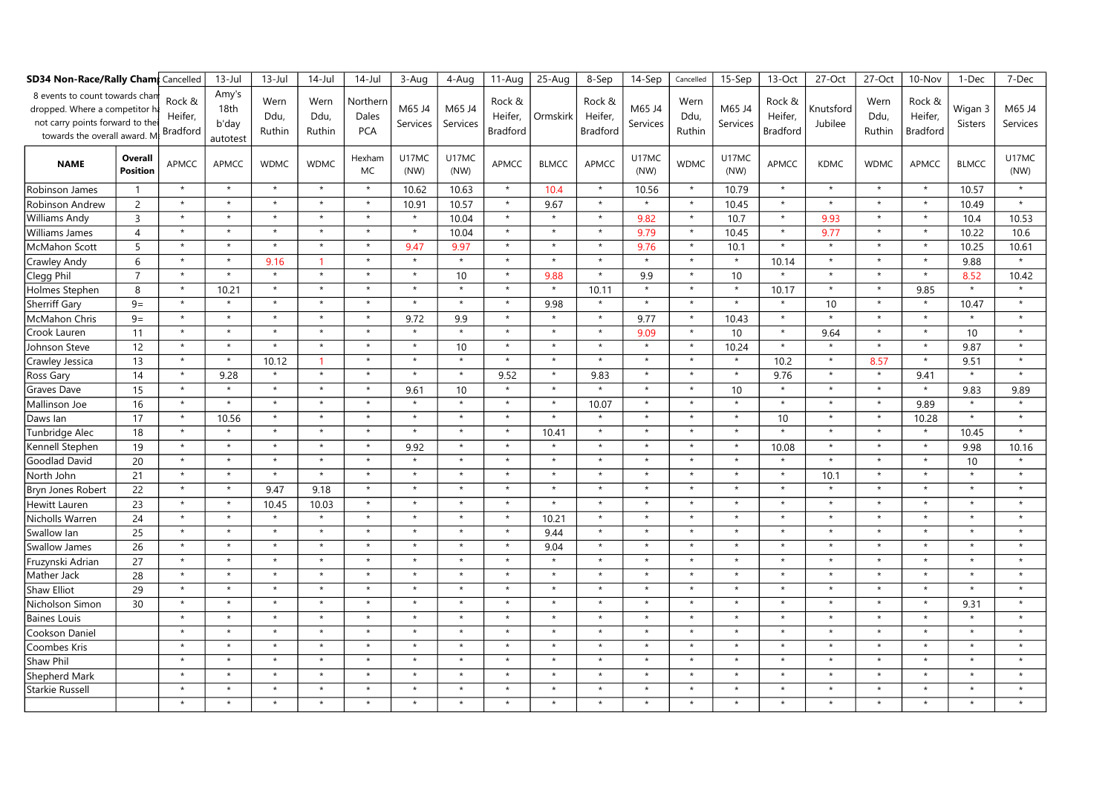| <b>SD34 Non-Race/Rally Cham</b> Cancelled                                                                                       |                            |                                      | $13$ -Jul                          | $13 -$ Jul             | $14$ -Jul              | $14$ -Jul                       | 3-Aug              | 4-Aug              | $11-Auq$                             | 25-Aug        | 8-Sep                                | 14-Sep             | Cancelled              | 15-Sep             | 13-Oct                               | 27-Oct               | 27-Oct                 | 10-Nov                               | 1-Dec              | 7-Dec              |
|---------------------------------------------------------------------------------------------------------------------------------|----------------------------|--------------------------------------|------------------------------------|------------------------|------------------------|---------------------------------|--------------------|--------------------|--------------------------------------|---------------|--------------------------------------|--------------------|------------------------|--------------------|--------------------------------------|----------------------|------------------------|--------------------------------------|--------------------|--------------------|
| 8 events to count towards chan<br>dropped. Where a competitor<br>not carry points forward to th<br>towards the overall award. M |                            | Rock &<br>Heifer,<br><b>Bradford</b> | Amy's<br>18th<br>b'day<br>autotest | Wern<br>Ddu,<br>Ruthin | Wern<br>Ddu,<br>Ruthin | Northerr<br>Dales<br><b>PCA</b> | M65 J4<br>Services | M65 J4<br>Services | Rock &<br>Heifer,<br><b>Bradford</b> | Ormskirk      | Rock &<br>Heifer,<br><b>Bradford</b> | M65 J4<br>Services | Wern<br>Ddu,<br>Ruthin | M65 J4<br>Services | Rock &<br>Heifer,<br><b>Bradford</b> | Knutsford<br>Jubilee | Wern<br>Ddu,<br>Ruthin | Rock &<br>Heifer,<br><b>Bradford</b> | Wigan 3<br>Sisters | M65 J4<br>Services |
| <b>NAME</b>                                                                                                                     | Overall<br><b>Position</b> | <b>APMCC</b>                         | APMCC                              | <b>WDMC</b>            | <b>WDMC</b>            | Hexham<br>MC.                   | U17MC<br>(NW)      | U17MC<br>(NW)      | <b>APMCC</b>                         | <b>BLMCC</b>  | APMCC                                | U17MC<br>(NW)      | <b>WDMC</b>            | U17MC<br>(NW)      | APMCC                                | <b>KDMC</b>          | <b>WDMC</b>            | APMCC                                | <b>BLMCC</b>       | U17MC<br>(NW)      |
| Robinson James                                                                                                                  | -1                         | $\star$                              | $\star$                            | $\star$                | $\star$                | $\star$                         | 10.62              | 10.63              | $\star$                              | 10.4          | $\star$                              | 10.56              | $\star$                | 10.79              | $\star$                              | $\star$              | $\star$                | $\star$                              | 10.57              | $\star$            |
| <b>Robinson Andrew</b>                                                                                                          | $\overline{2}$             | $\star$                              | $\star$                            | $\star$                | $\star$                | $\star$                         | 10.91              | 10.57              | $\star$                              | 9.67          | $\star$                              | $\star$            | $\star$                | 10.45              | $\star$                              | $\star$              | $\star$                | $\star$                              | 10.49              | $\star$            |
| <b>Williams Andy</b>                                                                                                            | $\overline{3}$             | $\star$                              | $\star$                            | $\star$                | $\star$                | $\star$                         | $\star$            | 10.04              | $\star$                              | $\star$       | $\star$                              | 9.82               | $\star$                | 10.7               | $\star$                              | 9.93                 | $\star$                | $\star$                              | 10.4               | 10.53              |
| Williams James                                                                                                                  | $\overline{4}$             | $\star$                              | $\star$                            | $\star$                | $\star$                | $\star$                         | $\star$            | 10.04              | $\star$                              | $\star$       | $\star$                              | 9.79               | $\star$                | 10.45              | $\star$                              | 9.77                 | $\star$                | $\star$                              | 10.22              | 10.6               |
| <b>McMahon Scott</b>                                                                                                            | 5                          | $\star$                              | $\star$                            | $\star$                | $\star$                | $\star$                         | 9.47               | 9.97               | $\star$                              | $\star$       | $\star$                              | 9.76               | $\star$                | 10.1               | $\star$                              | $\star$              | $\star$                | $\star$                              | 10.25              | 10.61              |
| Crawley Andy                                                                                                                    | 6                          | $\star$                              | $\star$                            | 9.16                   | -1                     | $\star$                         | $\star$            | $\star$            | $\star$                              | $\star$       | $\star$                              | $\star$            | $\star$                | $\star$            | 10.14                                | $\star$              | $\star$                | $\star$                              | 9.88               | $\star$            |
| Clegg Phil                                                                                                                      | $\overline{7}$             | $\star$                              | $\star$                            | $\star$                | $\star$                | $\star$                         | $\star$            | 10 <sup>10</sup>   | $\star$                              | 9.88          | $\star$                              | 9.9                | $\star$                | 10                 | $\star$                              | $\star$              | $\star$                | $\star$                              | 8.52               | 10.42              |
| Holmes Stephen                                                                                                                  | 8                          | $\star$                              | 10.21                              | $\star$                | $\star$                | $\star$                         | $\star$            | $\star$            | $\star$                              | $\pmb{\star}$ | 10.11                                | $\star$            | $\star$                | $\star$            | 10.17                                | $\star$              | $\star$                | 9.85                                 | $\star$            |                    |
| <b>Sherriff Gary</b>                                                                                                            | $9=$                       | $\star$                              | $\star$                            | $\star$                | $\star$                | $\star$                         | $\star$            | $\star$            | $\star$                              | 9.98          | $\star$                              | $\star$            | $\star$                | $\star$            | $^\star$                             | 10                   | $\star$                | $\star$                              | 10.47              | $\star$            |
| McMahon Chris                                                                                                                   | $9=$                       | $\star$                              | $\star$                            | $\star$                | $\star$                | $\star$                         | 9.72               | 9.9                | $\star$                              | $\star$       | $\star$                              | 9.77               | $\star$                | 10.43              | $\star$                              | $\star$              | $\star$                | $\star$                              | $\star$            | $\star$            |
| Crook Lauren                                                                                                                    | 11                         | $\star$                              | $\star$                            | $\star$                | $\star$                | $\star$                         | $\star$            | $\star$            | $\star$                              | $\star$       | $\star$                              | 9.09               | $\star$                | 10                 | $\star$                              | 9.64                 | $\star$                | $\star$                              | 10 <sup>°</sup>    | $\star$            |
| Johnson Steve                                                                                                                   | 12                         | $\star$                              | $\star$                            | $\star$                | $\star$                | $\star$                         | $\star$            | 10                 | $\star$                              | $\star$       | $\star$                              | $\star$            | $\star$                | 10.24              | $\star$                              | $\star$              | $\star$                | $\star$                              | 9.87               | $\star$            |
| Crawley Jessica                                                                                                                 | 13                         | $\star$                              | $\star$                            | 10.12                  | -1                     | $\star$                         | $\star$            | $\star$            | $\star$                              | $\star$       | $\star$                              | $\star$            | $\star$                | $\star$            | 10.2                                 | $\star$              | 8.57                   | $\star$                              | 9.51               | $\star$            |
| Ross Gary                                                                                                                       | 14                         | $\star$                              | 9.28                               | $\star$                | $\star$                | $\star$                         | $\star$            | $\star$            | 9.52                                 | $\star$       | 9.83                                 | $\star$            | $\star$                | $\star$            | 9.76                                 | $\star$              | $\star$                | 9.41                                 | $\star$            | $\star$            |
| Graves Dave                                                                                                                     | 15                         | $\star$                              | $\star$                            | $\star$                | $\star$                | $\star$                         | 9.61               | 10                 | $\star$                              | $\star$       | $\star$                              | $\star$            | $\star$                | 10                 | $\star$                              | $\star$              | $\star$                | $\star$                              | 9.83               | 9.89               |
| Mallinson Joe                                                                                                                   | 16                         | $\star$                              | $\star$                            | $\star$                | $\star$                | $\star$                         | $\star$            | $\star$            | $\star$                              | $\star$       | 10.07                                | $\star$            | $\star$                | $\star$            | $\star$                              | $\star$              | $\star$                | 9.89                                 | $\star$            | $\star$            |
| Daws Ian                                                                                                                        | 17                         | $\star$                              | 10.56                              | $\star$                | $\star$                | $\star$                         | $\star$            | $\star$            | $\star$                              | $\star$       | $\star$                              | $\star$            | $\star$                | $\star$            | 10                                   | $\star$              | $\star$                | 10.28                                | $\star$            | $\star$            |
| Tunbridge Alec                                                                                                                  | 18                         | $\star$                              | $\star$                            | $\star$                | $\star$                | $\star$                         | $\star$            | $\star$            | $\star$                              | 10.41         | $\star$                              | $\star$            | $\star$                | $\star$            | $\star$                              | $\star$              | $\star$                | $\star$                              | 10.45              | $\star$            |
| Kennell Stephen                                                                                                                 | 19                         | $\star$                              | $\star$                            | $\star$                | $\star$                | $\star$                         | 9.92               | $\star$            | $\star$                              | $\star$       | $\star$                              | $\star$            | $\star$                | $\star$            | 10.08                                | $\star$              | $\star$                | $\star$                              | 9.98               | 10.16              |
| Goodlad David                                                                                                                   | 20                         | $\star$                              | $\star$                            | $\star$                | $\star$                | $\star$                         | $\star$            | $\star$            | $\star$                              | $\star$       | $\star$                              | $\star$            | $\star$                | $\star$            | $\star$                              | $\star$              | $\star$                | $\star$                              | 10 <sup>°</sup>    |                    |
| North John                                                                                                                      | 21                         | $\star$                              | $\star$                            | $\star$                | $\star$                | $\star$                         | $\star$            | $\star$            | $\star$                              | $\star$       | $\star$                              | $\star$            | $\star$                | $\star$            | $\star$                              | 10.1                 | $\star$                | $\star$                              | $\star$            | $\star$            |
| Bryn Jones Robert                                                                                                               | 22                         | $\star$                              | $\star$                            | 9.47                   | 9.18                   | $\star$                         | $\star$            | $\star$            | $\star$                              | $\star$       | $\star$                              | $\star$            | $\star$                | $\star$            | $\star$                              | $\star$              | $\star$                | $\star$                              | $\star$            | $\star$            |
| Hewitt Lauren                                                                                                                   | 23                         | $\star$                              | $\star$                            | 10.45                  | 10.03                  | $\star$                         | $\star$            | $\star$            | $\star$                              | $\star$       | $\star$                              | $\star$            | $\star$                | $\star$            | $\star$                              | $\star$              | $\star$                | $\star$                              | $\star$            | $\star$            |
| Nicholls Warren                                                                                                                 | 24                         | $\star$                              | $\star$                            | $\star$                | $\star$                | $\star$                         | $\star$            | $\star$            | $\star$                              | 10.21         | $\star$                              | $\star$            | $\star$                | $\star$            | $\star$                              | $\star$              | $\star$                | $\star$                              | $\star$            | $\star$            |
| Swallow lan                                                                                                                     | 25                         | $\star$                              | $\star$                            | $\star$                | $\star$                | $\star$                         | $\star$            | $\star$            | $\star$                              | 9.44          | $\star$                              | $\star$            | $\star$                | $\star$            | $\star$                              | $\star$              | $\star$                | $\star$                              | $\star$            | $\star$            |
| Swallow James                                                                                                                   | 26                         | $\star$                              | $\star$                            | $\star$                | $\star$                | $\star$                         | $\star$            | $\star$            | $\star$                              | 9.04          | $\star$                              | $\star$            | $\star$                | $\star$            | $\star$                              | $\star$              | $\star$                | $\star$                              | $\star$            | $\star$            |
| Fruzynski Adrian                                                                                                                | 27                         | $\star$                              | $\star$                            | $\star$                | $\star$                | $\star$                         | $\star$            | $\star$            | $\star$                              | $\star$       | $\star$                              | $\star$            | $\star$                | $\star$            | $\star$                              | $\star$              | $\star$                | $\star$                              | $\star$            | $\star$            |
| Mather Jack                                                                                                                     | 28                         | $\star$                              | $\star$                            | $\star$                | $\star$                | $\star$                         | $\star$            | $\star$            | $\star$                              | $\star$       | $\star$                              | $\star$            | $\star$                | $\star$            | $\star$                              | $\star$              | $\star$                | $\star$                              | $\star$            | $\star$            |
| Shaw Elliot                                                                                                                     | 29                         | $\star$                              | $\star$                            | $\star$                | $\star$                | $\star$                         | $\star$            | $\star$            | $\star$                              | $\star$       | $\star$                              | $\star$            | $\star$                | $\star$            | $\star$                              | $\star$              | $\star$                | $\star$                              | $\star$            | $\star$            |
| Nicholson Simon                                                                                                                 | 30                         | $\star$                              | $\star$                            | $\star$                | $\star$                | $\star$                         | $\star$            | $\star$            | $\star$                              | $\star$       | $\star$                              | $\star$            | $\star$                | $\star$            | $\star$                              | $\star$              | $\star$                | $\pmb{\star}$                        | 9.31               | $\star$            |
| <b>Baines Louis</b>                                                                                                             |                            | $\star$                              | $\star$                            | $\star$                | $\star$                | $\star$                         | $\star$            | $\star$            | $\star$                              | $\star$       | $\star$                              | $\star$            | $\star$                | $\star$            | $\star$                              | $\star$              | $\star$                | $\star$                              | $\star$            | $\star$            |
| Cookson Daniel                                                                                                                  |                            | $\star$                              | $\star$                            | $\star$                | $\star$                | $\star$                         | $\star$            | $\star$            | $\star$                              | $\star$       | $\star$                              | $\star$            | $\star$                | $\star$            | $\star$                              | $\star$              | $\star$                | $\star$                              | $\star$            | $\star$            |
| Coombes Kris                                                                                                                    |                            | $\star$                              | $\star$                            | $\star$                | $\star$                | $\star$                         | $\star$            | $\star$            | $\star$                              | $\star$       | $\star$                              | $\star$            | $\star$                | $\star$            | $\star$                              | $\star$              | $\star$                | $\pmb{\star}$                        | $\star$            | $\star$            |
| Shaw Phil                                                                                                                       |                            | $\star$                              | $\star$                            | $\star$                | $\star$                | $\star$                         | $\star$            | $\star$            | $\star$                              | $\star$       | $\star$                              | $\star$            | $\star$                | $\star$            | $\star$                              | $\star$              | $\star$                | $\star$                              | $\star$            | $\star$            |
| Shepherd Mark                                                                                                                   |                            | $\star$                              | $\star$                            | $\star$                | $\star$                | $\star$                         | $\star$            | $\star$            | $\star$                              | $\star$       | $\star$                              | $\star$            | $\star$                | $\star$            | $\star$                              | $\star$              | $\star$                | $\star$                              | $\star$            | $\star$            |
| <b>Starkie Russell</b>                                                                                                          |                            | $\star$                              |                                    | $\star$                | $\star$                |                                 | $\star$            | $\star$            | $\star$                              | $\star$       | $\star$                              | $\star$            | $\star$                | $\star$            | $\star$                              | $\star$              | $\star$                | $\star$                              | $\star$            | $\star$            |
|                                                                                                                                 |                            | $\star$                              | $\star$                            | $\star$                | $\star$                | $\star$                         | $\star$            | $\star$            | $\star$                              | $\star$       | $\pm$                                | $\star$            | $\star$                | $\star$            | $\star$                              | $\star$              | $\star$                | $\star$                              |                    |                    |